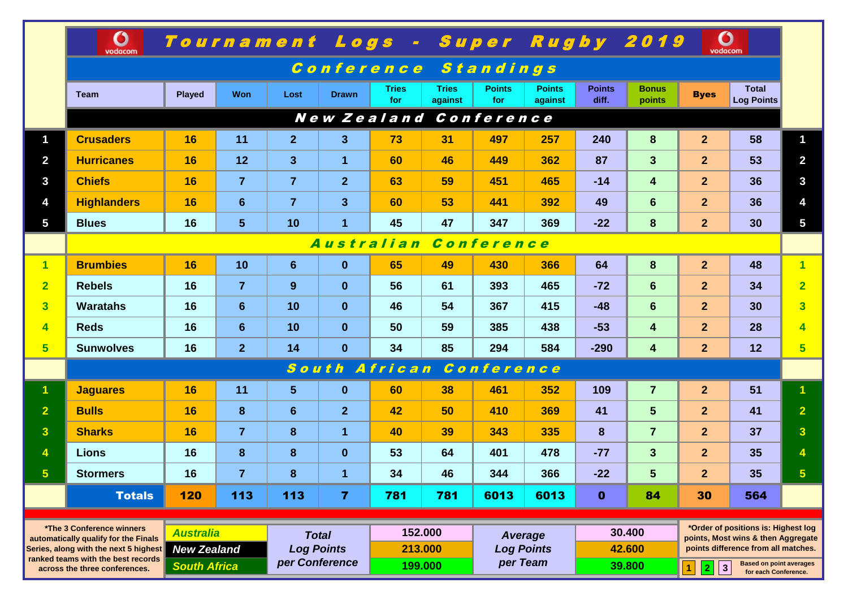|                                                                                                                                                                                   | $\mathbf O$<br>vodacom          |                                                               |                |                                                     |                         | Tournament Logs - Super Rugby 2019 |                               |                      |                                          |                        |                            | O<br>vodacom         |                                                                                                                                                                                       |                         |  |
|-----------------------------------------------------------------------------------------------------------------------------------------------------------------------------------|---------------------------------|---------------------------------------------------------------|----------------|-----------------------------------------------------|-------------------------|------------------------------------|-------------------------------|----------------------|------------------------------------------|------------------------|----------------------------|----------------------|---------------------------------------------------------------------------------------------------------------------------------------------------------------------------------------|-------------------------|--|
|                                                                                                                                                                                   | Conference Standings            |                                                               |                |                                                     |                         |                                    |                               |                      |                                          |                        |                            |                      |                                                                                                                                                                                       |                         |  |
|                                                                                                                                                                                   | <b>Team</b>                     | <b>Played</b>                                                 | <b>Won</b>     | Lost                                                | <b>Drawn</b>            | <b>Tries</b><br>for                | <b>Tries</b><br>against       | <b>Points</b><br>for | <b>Points</b><br>against                 | <b>Points</b><br>diff. | <b>Bonus</b><br>points     | <b>Byes</b>          | <b>Total</b><br><b>Log Points</b>                                                                                                                                                     |                         |  |
|                                                                                                                                                                                   | New Zealand Conference          |                                                               |                |                                                     |                         |                                    |                               |                      |                                          |                        |                            |                      |                                                                                                                                                                                       |                         |  |
| $\mathbf 1$                                                                                                                                                                       | <b>Crusaders</b>                | 16                                                            | 11             | 2 <sup>2</sup>                                      | $\overline{\mathbf{3}}$ | 73                                 | 31                            | 497                  | 257                                      | 240                    | 8                          | 2 <sup>2</sup>       | 58                                                                                                                                                                                    | 1                       |  |
| $\overline{2}$                                                                                                                                                                    | <b>Hurricanes</b>               | 16                                                            | 12             | 3 <sup>5</sup>                                      | $\mathbf{1}$            | 60                                 | 46                            | 449                  | 362                                      | 87                     | 3 <sup>5</sup>             | 2 <sup>1</sup>       | 53                                                                                                                                                                                    | $\overline{2}$          |  |
| $\mathbf{3}$                                                                                                                                                                      | <b>Chiefs</b>                   | 16                                                            | $\overline{7}$ | $\overline{7}$                                      | 2 <sup>1</sup>          | 63                                 | 59                            | 451                  | 465                                      | $-14$                  | $\overline{\mathbf{4}}$    | 2 <sup>1</sup>       | 36                                                                                                                                                                                    | $\mathbf{3}$            |  |
| 4                                                                                                                                                                                 | <b>Highlanders</b>              | 16                                                            | 6              | $\overline{7}$                                      | 3 <sup>5</sup>          | 60                                 | 53                            | 441                  | 392                                      | 49                     | 6                          | 2 <sup>1</sup>       | 36                                                                                                                                                                                    | 4                       |  |
| $5\phantom{.0}$                                                                                                                                                                   | <b>Blues</b>                    | 16                                                            | $5\phantom{1}$ | 10                                                  | $\overline{1}$          | 45                                 | 47                            | 347                  | 369                                      | $-22$                  | 8                          | 2 <sup>2</sup>       | 30                                                                                                                                                                                    | $\overline{\mathbf{5}}$ |  |
|                                                                                                                                                                                   | <b>Australian</b><br>Conference |                                                               |                |                                                     |                         |                                    |                               |                      |                                          |                        |                            |                      |                                                                                                                                                                                       |                         |  |
| $\overline{1}$                                                                                                                                                                    | <b>Brumbies</b>                 | 16                                                            | 10             | 6                                                   | $\mathbf{0}$            | 65                                 | 49                            | 430                  | 366                                      | 64                     | 8                          | 2 <sup>1</sup>       | 48                                                                                                                                                                                    | $\overline{1}$          |  |
| $\overline{2}$                                                                                                                                                                    | <b>Rebels</b>                   | 16                                                            | $\overline{7}$ | 9                                                   | $\mathbf{0}$            | 56                                 | 61                            | 393                  | 465                                      | $-72$                  | 6                          | 2 <sup>1</sup>       | 34                                                                                                                                                                                    | $\overline{2}$          |  |
| $\overline{\mathbf{3}}$                                                                                                                                                           | <b>Waratahs</b>                 | 16                                                            | 6              | 10                                                  | $\mathbf{0}$            | 46                                 | 54                            | 367                  | 415                                      | $-48$                  | 6                          | 2 <sup>1</sup>       | 30                                                                                                                                                                                    | $\overline{3}$          |  |
| $\overline{\mathbf{4}}$                                                                                                                                                           | <b>Reds</b>                     | 16                                                            | $6\phantom{1}$ | 10                                                  | $\mathbf{0}$            | 50                                 | 59                            | 385                  | 438                                      | $-53$                  | $\overline{4}$             | $\overline{2}$       | 28                                                                                                                                                                                    | $\overline{4}$          |  |
| 5 <sup>5</sup>                                                                                                                                                                    | <b>Sunwolves</b>                | 16                                                            | $\overline{2}$ | 14                                                  | $\mathbf{0}$            | 34                                 | 85                            | 294                  | 584                                      | $-290$                 | $\overline{\mathbf{4}}$    | 2 <sup>1</sup>       | 12                                                                                                                                                                                    | 5 <sup>5</sup>          |  |
|                                                                                                                                                                                   | South African Conference        |                                                               |                |                                                     |                         |                                    |                               |                      |                                          |                        |                            |                      |                                                                                                                                                                                       |                         |  |
| $\mathbf 1$                                                                                                                                                                       | <b>Jaguares</b>                 | 16                                                            | 11             | 5 <sup>5</sup>                                      | $\mathbf{0}$            | 60                                 | 38                            | 461                  | 352                                      | 109                    | $\overline{7}$             | 2 <sup>2</sup>       | 51                                                                                                                                                                                    | 1                       |  |
| $\overline{2}$                                                                                                                                                                    | <b>Bulls</b>                    | 16                                                            | 8              | $6\phantom{1}$                                      | $\overline{2}$          | 42                                 | 50                            | 410                  | 369                                      | 41                     | $5\phantom{1}$             | 2 <sup>1</sup>       | 41                                                                                                                                                                                    | $\overline{2}$          |  |
| $\overline{\mathbf{3}}$                                                                                                                                                           | <b>Sharks</b>                   | 16                                                            | $\overline{7}$ | 8                                                   | $\mathbf{1}$            | 40                                 | 39                            | 343                  | 335                                      | 8                      | $\overline{7}$             | 2 <sup>1</sup>       | 37                                                                                                                                                                                    | 3 <sup>1</sup>          |  |
| 4                                                                                                                                                                                 | <b>Lions</b>                    | 16                                                            | 8              | 8                                                   | $\mathbf{0}$            | 53                                 | 64                            | 401                  | 478                                      | $-77$                  | 3 <sup>1</sup>             | 2 <sup>1</sup>       | 35                                                                                                                                                                                    |                         |  |
| 5                                                                                                                                                                                 | <b>Stormers</b>                 | 16                                                            | $\overline{7}$ | 8                                                   | 1                       | 34                                 | 46                            | 344                  | 366                                      | $-22$                  | 5                          | $\overline{2}$       | 35                                                                                                                                                                                    | $\overline{\mathbf{5}}$ |  |
|                                                                                                                                                                                   | <b>Totals</b>                   | 120                                                           | 113            | 113                                                 | $\overline{7}$          | 781                                | 781                           | 6013                 | 6013                                     | $\mathbf{0}$           | 84                         | 30                   | 564                                                                                                                                                                                   |                         |  |
| *The 3 Conference winners<br>automatically qualify for the Finals<br>Series, along with the next 5 highest<br>ranked teams with the best records<br>across the three conferences. |                                 | <b>Australia</b><br><b>New Zealand</b><br><b>South Africa</b> |                | <b>Total</b><br><b>Log Points</b><br>per Conference |                         |                                    | 152.000<br>213.000<br>199.000 |                      | Average<br><b>Log Points</b><br>per Team |                        | 30.400<br>42.600<br>39.800 |                      | *Order of positions is: Highest log<br>points, Most wins & then Aggregate<br>points difference from all matches.<br><b>Based on point averages</b><br>$\vert$ 3<br>$\mathbf{1}$<br> 2 |                         |  |
|                                                                                                                                                                                   |                                 |                                                               |                |                                                     |                         |                                    |                               |                      |                                          |                        |                            | for each Conference. |                                                                                                                                                                                       |                         |  |